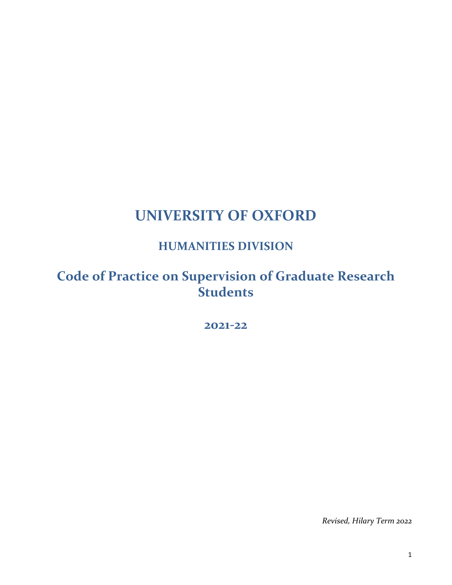# **UNIVERSITY OF OXFORD**

## **HUMANITIES DIVISION**

## **Code of Practice on Supervision of Graduate Research Students**

## **2021-22**

*Revised, Hilary Term 2022*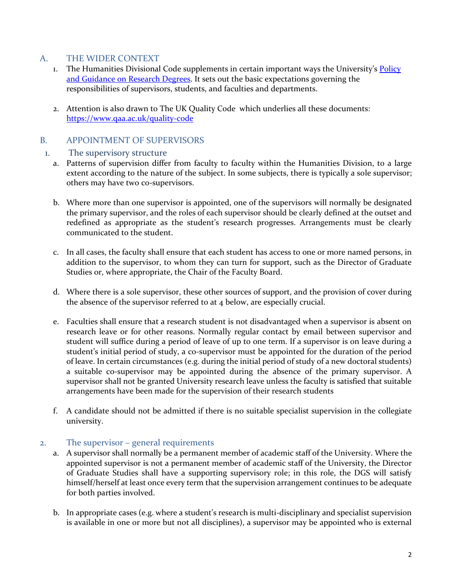#### A. THE WIDER CONTEXT

- 1. The Humanities Divisional Code supplements in certain important ways the University's Policy [and Guidance on Research Degrees.](https://academic.admin.ox.ac.uk/research-degrees) It sets out the basic expectations governing the responsibilities of supervisors, students, and faculties and departments.
- 2. Attention is also drawn to The UK Quality Code which underlies all these documents: <https://www.qaa.ac.uk/quality-code>

## B. APPOINTMENT OF SUPERVISORS

#### 1. The supervisory structure

- a. Patterns of supervision differ from faculty to faculty within the Humanities Division, to a large extent according to the nature of the subject. In some subjects, there is typically a sole supervisor; others may have two co-supervisors.
- b. Where more than one supervisor is appointed, one of the supervisors will normally be designated the primary supervisor, and the roles of each supervisor should be clearly defined at the outset and redefined as appropriate as the student's research progresses. Arrangements must be clearly communicated to the student.
- c. In all cases, the faculty shall ensure that each student has access to one or more named persons, in addition to the supervisor, to whom they can turn for support, such as the Director of Graduate Studies or, where appropriate, the Chair of the Faculty Board.
- d. Where there is a sole supervisor, these other sources of support, and the provision of cover during the absence of the supervisor referred to at 4 below, are especially crucial.
- e. Faculties shall ensure that a research student is not disadvantaged when a supervisor is absent on research leave or for other reasons. Normally regular contact by email between supervisor and student will suffice during a period of leave of up to one term. If a supervisor is on leave during a student's initial period of study, a co-supervisor must be appointed for the duration of the period of leave. In certain circumstances (e.g. during the initial period of study of a new doctoral students) a suitable co-supervisor may be appointed during the absence of the primary supervisor. A supervisor shall not be granted University research leave unless the faculty is satisfied that suitable arrangements have been made for the supervision of their research students
- f. A candidate should not be admitted if there is no suitable specialist supervision in the collegiate university.

#### 2. The supervisor – general requirements

- a. A supervisor shall normally be a permanent member of academic staff of the University. Where the appointed supervisor is not a permanent member of academic staff of the University, the Director of Graduate Studies shall have a supporting supervisory role; in this role, the DGS will satisfy himself/herself at least once every term that the supervision arrangement continues to be adequate for both parties involved.
- b. In appropriate cases (e.g. where a student's research is multi-disciplinary and specialist supervision is available in one or more but not all disciplines), a supervisor may be appointed who is external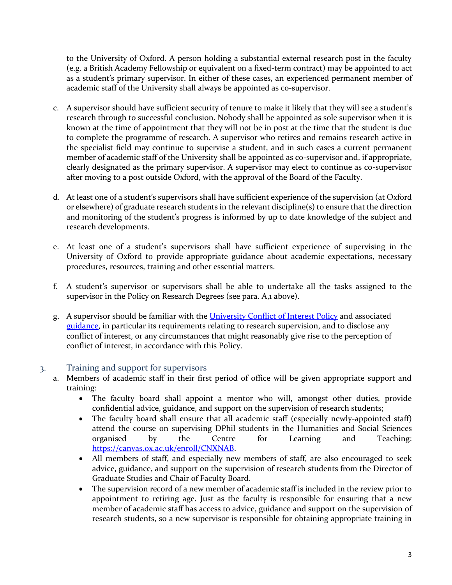to the University of Oxford. A person holding a substantial external research post in the faculty (e.g. a British Academy Fellowship or equivalent on a fixed-term contract) may be appointed to act as a student's primary supervisor. In either of these cases, an experienced permanent member of academic staff of the University shall always be appointed as co-supervisor.

- c. A supervisor should have sufficient security of tenure to make it likely that they will see a student's research through to successful conclusion. Nobody shall be appointed as sole supervisor when it is known at the time of appointment that they will not be in post at the time that the student is due to complete the programme of research. A supervisor who retires and remains research active in the specialist field may continue to supervise a student, and in such cases a current permanent member of academic staff of the University shall be appointed as co-supervisor and, if appropriate, clearly designated as the primary supervisor. A supervisor may elect to continue as co-supervisor after moving to a post outside Oxford, with the approval of the Board of the Faculty.
- d. At least one of a student's supervisors shall have sufficient experience of the supervision (at Oxford or elsewhere) of graduate research students in the relevant discipline(s) to ensure that the direction and monitoring of the student's progress is informed by up to date knowledge of the subject and research developments.
- e. At least one of a student's supervisors shall have sufficient experience of supervising in the University of Oxford to provide appropriate guidance about academic expectations, necessary procedures, resources, training and other essential matters.
- f. A student's supervisor or supervisors shall be able to undertake all the tasks assigned to the supervisor in the Policy on Research Degrees (see para. A,1 above).
- g. A supervisor should be familiar with the [University Conflict](https://www.admin.ox.ac.uk/councilsec/compliance/conflictofinterest) of Interest Policy and associated [guidance,](https://researchsupport.admin.ox.ac.uk/governance/integrity/conflict) in particular its requirements relating to research supervision, and to disclose any conflict of interest, or any circumstances that might reasonably give rise to the perception of conflict of interest, in accordance with this Policy.

#### 3. Training and support for supervisors

- a. Members of academic staff in their first period of office will be given appropriate support and training:
	- The faculty board shall appoint a mentor who will, amongst other duties, provide confidential advice, guidance, and support on the supervision of research students;
	- The faculty board shall ensure that all academic staff (especially newly-appointed staff) attend the course on supervising DPhil students in the Humanities and Social Sciences organised by the Centre for Learning and Teaching: [https://canvas.ox.ac.uk/enroll/CNXNAB.](https://canvas.ox.ac.uk/enroll/CNXNAB)
	- All members of staff, and especially new members of staff, are also encouraged to seek advice, guidance, and support on the supervision of research students from the Director of Graduate Studies and Chair of Faculty Board.
	- The supervision record of a new member of academic staff is included in the review prior to appointment to retiring age. Just as the faculty is responsible for ensuring that a new member of academic staff has access to advice, guidance and support on the supervision of research students, so a new supervisor is responsible for obtaining appropriate training in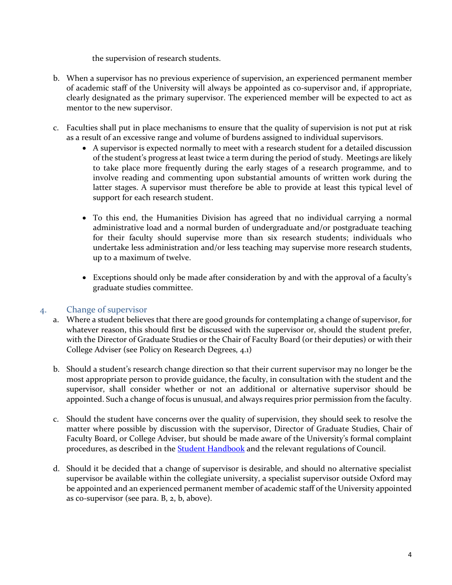the supervision of research students.

- b. When a supervisor has no previous experience of supervision, an experienced permanent member of academic staff of the University will always be appointed as co-supervisor and, if appropriate, clearly designated as the primary supervisor. The experienced member will be expected to act as mentor to the new supervisor.
- c. Faculties shall put in place mechanisms to ensure that the quality of supervision is not put at risk as a result of an excessive range and volume of burdens assigned to individual supervisors.
	- A supervisor is expected normally to meet with a research student for a detailed discussion of the student's progress at least twice a term during the period of study. Meetings are likely to take place more frequently during the early stages of a research programme, and to involve reading and commenting upon substantial amounts of written work during the latter stages. A supervisor must therefore be able to provide at least this typical level of support for each research student.
	- To this end, the Humanities Division has agreed that no individual carrying a normal administrative load and a normal burden of undergraduate and/or postgraduate teaching for their faculty should supervise more than six research students; individuals who undertake less administration and/or less teaching may supervise more research students, up to a maximum of twelve.
	- Exceptions should only be made after consideration by and with the approval of a faculty's graduate studies committee.

#### 4. Change of supervisor

- a. Where a student believes that there are good grounds for contemplating a change of supervisor, for whatever reason, this should first be discussed with the supervisor or, should the student prefer, with the Director of Graduate Studies or the Chair of Faculty Board (or their deputies) or with their College Adviser (see Policy on Research Degrees, 4.1)
- b. Should a student's research change direction so that their current supervisor may no longer be the most appropriate person to provide guidance, the faculty, in consultation with the student and the supervisor, shall consider whether or not an additional or alternative supervisor should be appointed. Such a change of focus is unusual, and always requires prior permission from the faculty.
- c. Should the student have concerns over the quality of supervision, they should seek to resolve the matter where possible by discussion with the supervisor, Director of Graduate Studies, Chair of Faculty Board, or College Adviser, but should be made aware of the University's formal complaint procedures, as described in the [Student Handbook](https://www.ox.ac.uk/students/academic/student-handbook?wssl=1) and the relevant regulations of Council.
- d. Should it be decided that a change of supervisor is desirable, and should no alternative specialist supervisor be available within the collegiate university, a specialist supervisor outside Oxford may be appointed and an experienced permanent member of academic staff of the University appointed as co-supervisor (see para. B, 2, b, above).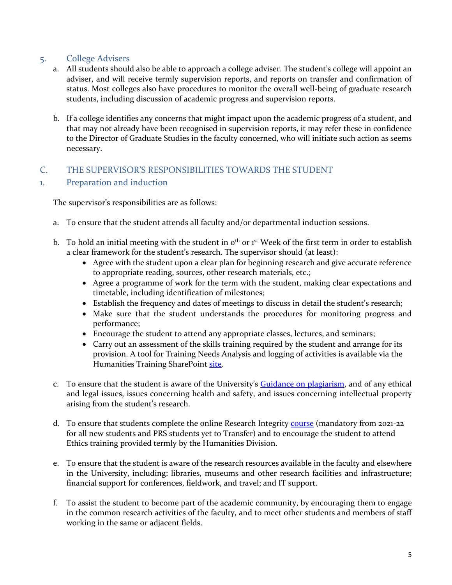### 5. College Advisers

- a. All students should also be able to approach a college adviser. The student's college will appoint an adviser, and will receive termly supervision reports, and reports on transfer and confirmation of status. Most colleges also have procedures to monitor the overall well-being of graduate research students, including discussion of academic progress and supervision reports.
- b. If a college identifies any concerns that might impact upon the academic progress of a student, and that may not already have been recognised in supervision reports, it may refer these in confidence to the Director of Graduate Studies in the faculty concerned, who will initiate such action as seems necessary.

## C. THE SUPERVISOR'S RESPONSIBILITIES TOWARDS THE STUDENT

#### 1. Preparation and induction

The supervisor's responsibilities are as follows:

- a. To ensure that the student attends all faculty and/or departmental induction sessions.
- b. To hold an initial meeting with the student in  $o<sup>th</sup>$  or  $1<sup>st</sup>$  Week of the first term in order to establish a clear framework for the student's research. The supervisor should (at least):
	- Agree with the student upon a clear plan for beginning research and give accurate reference to appropriate reading, sources, other research materials, etc.;
	- Agree a programme of work for the term with the student, making clear expectations and timetable, including identification of milestones;
	- Establish the frequency and dates of meetings to discuss in detail the student's research;
	- Make sure that the student understands the procedures for monitoring progress and performance;
	- Encourage the student to attend any appropriate classes, lectures, and seminars;
	- Carry out an assessment of the skills training required by the student and arrange for its provision. A tool for Training Needs Analysis and logging of activities is available via the Humanities Training SharePoint [site.](https://sharepoint.nexus.ox.ac.uk/sites/humanities/research_training/training/SitePages/Home.aspx)
- c. To ensure that the student is aware of the University's [Guidance on plagiarism,](http://www.ox.ac.uk/students/academic/guidance/skills/plagiarism) and of any ethical and legal issues, issues concerning health and safety, and issues concerning intellectual property arising from the student's research.
- d. To ensure that students complete the online Research Integrity [course](https://weblearn.ox.ac.uk/portal/site/:skills:ricourses) (mandatory from 2021-22 for all new students and PRS students yet to Transfer) and to encourage the student to attend Ethics training provided termly by the Humanities Division.
- e. To ensure that the student is aware of the research resources available in the faculty and elsewhere in the University, including: libraries, museums and other research facilities and infrastructure; financial support for conferences, fieldwork, and travel; and IT support.
- f. To assist the student to become part of the academic community, by encouraging them to engage in the common research activities of the faculty, and to meet other students and members of staff working in the same or adjacent fields.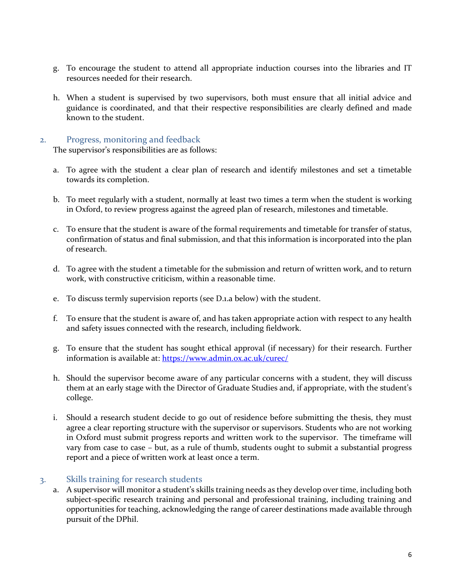- g. To encourage the student to attend all appropriate induction courses into the libraries and IT resources needed for their research.
- h. When a student is supervised by two supervisors, both must ensure that all initial advice and guidance is coordinated, and that their respective responsibilities are clearly defined and made known to the student.

#### 2. Progress, monitoring and feedback

The supervisor's responsibilities are as follows:

- a. To agree with the student a clear plan of research and identify milestones and set a timetable towards its completion.
- b. To meet regularly with a student, normally at least two times a term when the student is working in Oxford, to review progress against the agreed plan of research, milestones and timetable.
- c. To ensure that the student is aware of the formal requirements and timetable for transfer of status, confirmation of status and final submission, and that this information is incorporated into the plan of research.
- d. To agree with the student a timetable for the submission and return of written work, and to return work, with constructive criticism, within a reasonable time.
- e. To discuss termly supervision reports (see D.1.a below) with the student.
- f. To ensure that the student is aware of, and has taken appropriate action with respect to any health and safety issues connected with the research, including fieldwork.
- g. To ensure that the student has sought ethical approval (if necessary) for their research. Further information is available at:<https://www.admin.ox.ac.uk/curec/>
- h. Should the supervisor become aware of any particular concerns with a student, they will discuss them at an early stage with the Director of Graduate Studies and, if appropriate, with the student's college.
- i. Should a research student decide to go out of residence before submitting the thesis, they must agree a clear reporting structure with the supervisor or supervisors. Students who are not working in Oxford must submit progress reports and written work to the supervisor. The timeframe will vary from case to case – but, as a rule of thumb, students ought to submit a substantial progress report and a piece of written work at least once a term.

#### 3. Skills training for research students

a. A supervisor will monitor a student's skills training needs as they develop over time, including both subject-specific research training and personal and professional training, including training and opportunities for teaching, acknowledging the range of career destinations made available through pursuit of the DPhil.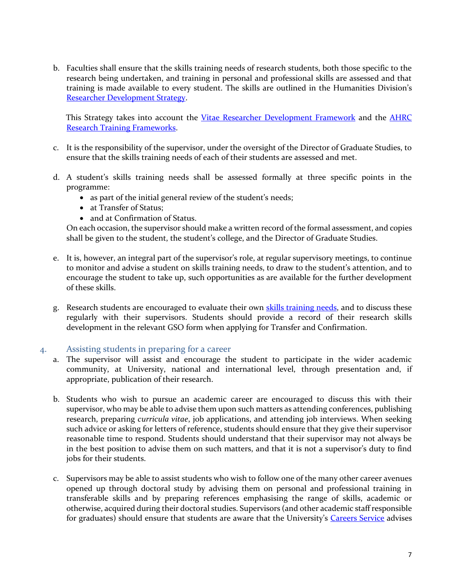b. Faculties shall ensure that the skills training needs of research students, both those specific to the research being undertaken, and training in personal and professional skills are assessed and that training is made available to every student. The skills are outlined in the Humanities Division's [Researcher Development Strategy.](https://www.humanities.ox.ac.uk/our-approach)

This Strategy takes into account the [Vitae Researcher Development Framework](https://www.vitae.ac.uk/researchers-professional-development/about-the-vitae-researcher-development-framework) and the AHRC [Research Training Frameworks.](https://ahrc.ukri.org/skills/rtframeworks/)

- c. It is the responsibility of the supervisor, under the oversight of the Director of Graduate Studies, to ensure that the skills training needs of each of their students are assessed and met.
- d. A student's skills training needs shall be assessed formally at three specific points in the programme:
	- as part of the initial general review of the student's needs;
	- at Transfer of Status;
	- and at Confirmation of Status.

On each occasion, the supervisor should make a written record of the formal assessment, and copies shall be given to the student, the student's college, and the Director of Graduate Studies.

- e. It is, however, an integral part of the supervisor's role, at regular supervisory meetings, to continue to monitor and advise a student on skills training needs, to draw to the student's attention, and to encourage the student to take up, such opportunities as are available for the further development of these skills.
- g. Research students are encouraged to evaluate their own [skills training needs,](https://sharepoint.nexus.ox.ac.uk/sites/humanities/research_training/training/SitePages/Home.aspx) and to discuss these regularly with their supervisors. Students should provide a record of their research skills development in the relevant GSO form when applying for Transfer and Confirmation.

#### 4. Assisting students in preparing for a career

- a. The supervisor will assist and encourage the student to participate in the wider academic community, at University, national and international level, through presentation and, if appropriate, publication of their research.
- b. Students who wish to pursue an academic career are encouraged to discuss this with their supervisor, who may be able to advise them upon such matters as attending conferences, publishing research, preparing *curricula vitae*, job applications, and attending job interviews. When seeking such advice or asking for letters of reference, students should ensure that they give their supervisor reasonable time to respond. Students should understand that their supervisor may not always be in the best position to advise them on such matters, and that it is not a supervisor's duty to find jobs for their students.
- c. Supervisors may be able to assist students who wish to follow one of the many other career avenues opened up through doctoral study by advising them on personal and professional training in transferable skills and by preparing references emphasising the range of skills, academic or otherwise, acquired during their doctoral studies. Supervisors (and other academic staff responsible for graduates) should ensure that students are aware that the University's [Careers Service](https://www.careers.ox.ac.uk/) advises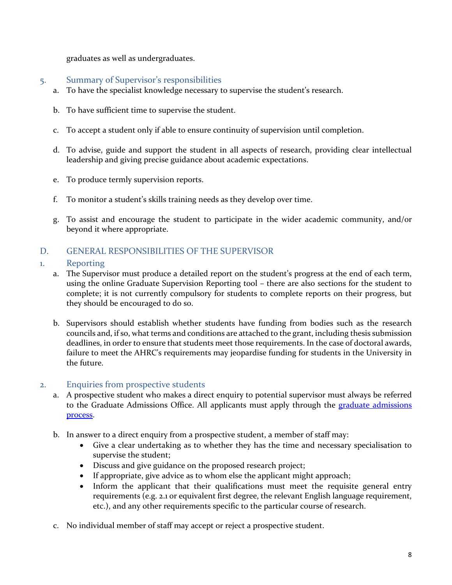graduates as well as undergraduates.

#### 5. Summary of Supervisor's responsibilities

- a. To have the specialist knowledge necessary to supervise the student's research.
- b. To have sufficient time to supervise the student.
- c. To accept a student only if able to ensure continuity of supervision until completion.
- d. To advise, guide and support the student in all aspects of research, providing clear intellectual leadership and giving precise guidance about academic expectations.
- e. To produce termly supervision reports.
- f. To monitor a student's skills training needs as they develop over time.
- g. To assist and encourage the student to participate in the wider academic community, and/or beyond it where appropriate.

## D. GENERAL RESPONSIBILITIES OF THE SUPERVISOR

#### 1. Reporting

- a. The Supervisor must produce a detailed report on the student's progress at the end of each term, using the online Graduate Supervision Reporting tool – there are also sections for the student to complete; it is not currently compulsory for students to complete reports on their progress, but they should be encouraged to do so.
- b. Supervisors should establish whether students have funding from bodies such as the research councils and, if so, what terms and conditions are attached to the grant, including thesis submission deadlines, in order to ensure that students meet those requirements. In the case of doctoral awards, failure to meet the AHRC's requirements may jeopardise funding for students in the University in the future.

#### 2. Enquiries from prospective students

- a. A prospective student who makes a direct enquiry to potential supervisor must always be referred to the Graduate Admissions Office. All applicants must apply through the graduate admissions [process.](http://www.ox.ac.uk/admissions/graduate/applying-to-oxford/)
- b. In answer to a direct enquiry from a prospective student, a member of staff may:
	- Give a clear undertaking as to whether they has the time and necessary specialisation to supervise the student;
	- Discuss and give guidance on the proposed research project;
	- If appropriate, give advice as to whom else the applicant might approach;
	- Inform the applicant that their qualifications must meet the requisite general entry requirements (e.g. 2.1 or equivalent first degree, the relevant English language requirement, etc.), and any other requirements specific to the particular course of research.
- c. No individual member of staff may accept or reject a prospective student.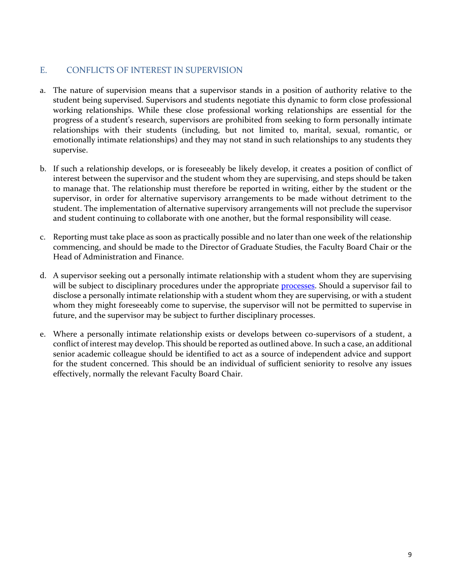### E. CONFLICTS OF INTEREST IN SUPERVISION

- a. The nature of supervision means that a supervisor stands in a position of authority relative to the student being supervised. Supervisors and students negotiate this dynamic to form close professional working relationships. While these close professional working relationships are essential for the progress of a student's research, supervisors are prohibited from seeking to form personally intimate relationships with their students (including, but not limited to, marital, sexual, romantic, or emotionally intimate relationships) and they may not stand in such relationships to any students they supervise.
- b. If such a relationship develops, or is foreseeably be likely develop, it creates a position of conflict of interest between the supervisor and the student whom they are supervising, and steps should be taken to manage that. The relationship must therefore be reported in writing, either by the student or the supervisor, in order for alternative supervisory arrangements to be made without detriment to the student. The implementation of alternative supervisory arrangements will not preclude the supervisor and student continuing to collaborate with one another, but the formal responsibility will cease.
- c. Reporting must take place as soon as practically possible and no later than one week of the relationship commencing, and should be made to the Director of Graduate Studies, the Faculty Board Chair or the Head of Administration and Finance.
- d. A supervisor seeking out a personally intimate relationship with a student whom they are supervising will be subject to disciplinary procedures under the appropriate **processes**. Should a supervisor fail to disclose a personally intimate relationship with a student whom they are supervising, or with a student whom they might foreseeably come to supervise, the supervisor will not be permitted to supervise in future, and the supervisor may be subject to further disciplinary processes.
- e. Where a personally intimate relationship exists or develops between co-supervisors of a student, a conflict of interest may develop. This should be reported as outlined above. In such a case, an additional senior academic colleague should be identified to act as a source of independent advice and support for the student concerned. This should be an individual of sufficient seniority to resolve any issues effectively, normally the relevant Faculty Board Chair.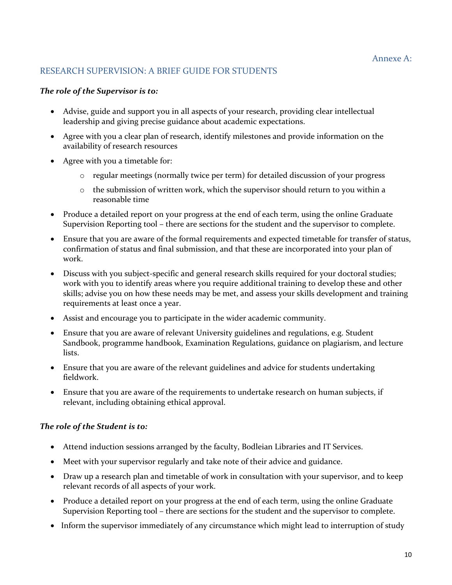## RESEARCH SUPERVISION: A BRIEF GUIDE FOR STUDENTS

#### *The role of the Supervisor is to:*

- Advise, guide and support you in all aspects of your research, providing clear intellectual leadership and giving precise guidance about academic expectations.
- Agree with you a clear plan of research, identify milestones and provide information on the availability of research resources
- Agree with you a timetable for:
	- $\circ$  regular meetings (normally twice per term) for detailed discussion of your progress
	- $\circ$  the submission of written work, which the supervisor should return to you within a reasonable time
- Produce a detailed report on your progress at the end of each term, using the online Graduate Supervision Reporting tool – there are sections for the student and the supervisor to complete.
- Ensure that you are aware of the formal requirements and expected timetable for transfer of status, confirmation of status and final submission, and that these are incorporated into your plan of work.
- Discuss with you subject-specific and general research skills required for your doctoral studies; work with you to identify areas where you require additional training to develop these and other skills; advise you on how these needs may be met, and assess your skills development and training requirements at least once a year.
- Assist and encourage you to participate in the wider academic community.
- Ensure that you are aware of relevant University guidelines and regulations, e.g. Student Sandbook, programme handbook, Examination Regulations, guidance on plagiarism, and lecture lists.
- Ensure that you are aware of the relevant guidelines and advice for students undertaking fieldwork.
- Ensure that you are aware of the requirements to undertake research on human subjects, if relevant, including obtaining ethical approval.

#### *The role of the Student is to:*

- Attend induction sessions arranged by the faculty, Bodleian Libraries and IT Services.
- Meet with your supervisor regularly and take note of their advice and guidance.
- Draw up a research plan and timetable of work in consultation with your supervisor, and to keep relevant records of all aspects of your work.
- Produce a detailed report on your progress at the end of each term, using the online Graduate Supervision Reporting tool – there are sections for the student and the supervisor to complete.
- Inform the supervisor immediately of any circumstance which might lead to interruption of study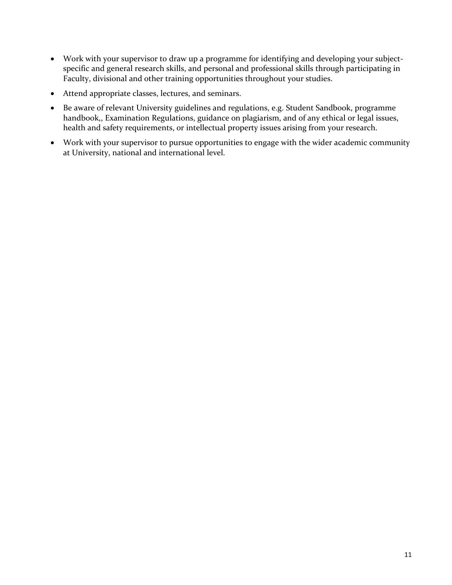- Work with your supervisor to draw up a programme for identifying and developing your subjectspecific and general research skills, and personal and professional skills through participating in Faculty, divisional and other training opportunities throughout your studies.
- Attend appropriate classes, lectures, and seminars.
- Be aware of relevant University guidelines and regulations, e.g. Student Sandbook, programme handbook,, Examination Regulations, guidance on plagiarism, and of any ethical or legal issues, health and safety requirements, or intellectual property issues arising from your research.
- Work with your supervisor to pursue opportunities to engage with the wider academic community at University, national and international level.